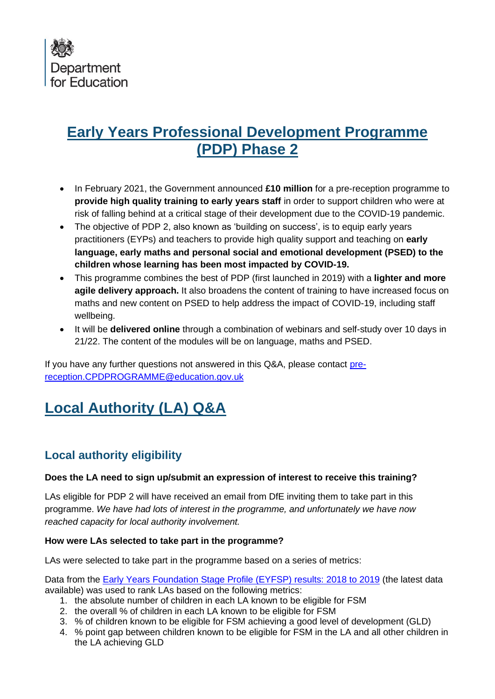

# **Early Years Professional Development Programme (PDP) Phase 2**

- In February 2021, the Government announced **£10 million** for a pre-reception programme to **provide high quality training to early years staff** in order to support children who were at risk of falling behind at a critical stage of their development due to the COVID-19 pandemic.
- The objective of PDP 2, also known as 'building on success', is to equip early years practitioners (EYPs) and teachers to provide high quality support and teaching on **early language, early maths and personal social and emotional development (PSED) to the children whose learning has been most impacted by COVID-19.**
- This programme combines the best of PDP (first launched in 2019) with a **lighter and more agile delivery approach.** It also broadens the content of training to have increased focus on maths and new content on PSED to help address the impact of COVID-19, including staff wellbeing.
- It will be **delivered online** through a combination of webinars and self-study over 10 days in 21/22. The content of the modules will be on language, maths and PSED.

If you have any further questions not answered in this Q&A, please contact [pre](mailto:pre-reception.CPDPROGRAMME@education.gov.uk)[reception.CPDPROGRAMME@education.gov.uk](mailto:pre-reception.CPDPROGRAMME@education.gov.uk)

# **Local Authority (LA) Q&A**

# **Local authority eligibility**

#### **Does the LA need to sign up/submit an expression of interest to receive this training?**

LAs eligible for PDP 2 will have received an email from DfE inviting them to take part in this programme. *We have had lots of interest in the programme, and unfortunately we have now reached capacity for local authority involvement.*

#### **How were LAs selected to take part in the programme?**

LAs were selected to take part in the programme based on a series of metrics:

Data from the [Early Years Foundation Stage Profile \(EYFSP\) results: 2018 to 2019](https://www.gov.uk/government/statistics/early-years-foundation-stage-profile-results-2018-to-2019) (the latest data available) was used to rank LAs based on the following metrics:

- 1. the absolute number of children in each LA known to be eligible for FSM
- 2. the overall % of children in each LA known to be eligible for FSM
- 3. % of children known to be eligible for FSM achieving a good level of development (GLD)
- 4. % point gap between children known to be eligible for FSM in the LA and all other children in the LA achieving GLD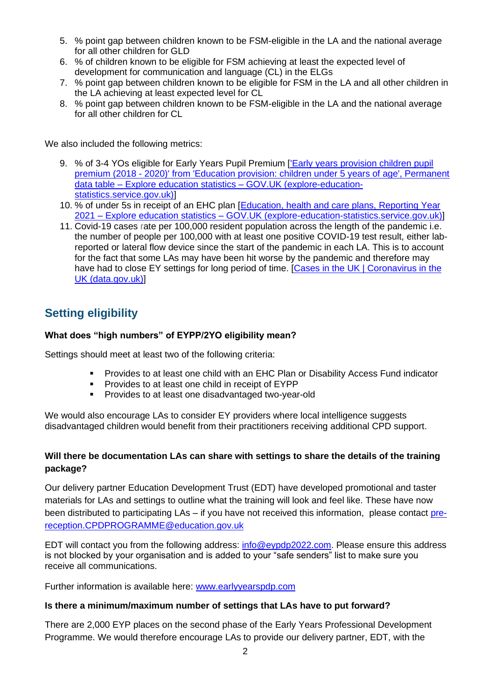- 5. % point gap between children known to be FSM-eligible in the LA and the national average for all other children for GLD
- 6. % of children known to be eligible for FSM achieving at least the expected level of development for communication and language (CL) in the ELGs
- 7. % point gap between children known to be eligible for FSM in the LA and all other children in the LA achieving at least expected level for CL
- 8. % point gap between children known to be FSM-eligible in the LA and the national average for all other children for CL

We also included the following metrics:

- 9. % of 3-4 YOs eligible for Early Years Pupil Premium [\['Early years provision children pupil](https://explore-education-statistics.service.gov.uk/data-tables/permalink/1873d8e1-4895-477e-a2ab-d83b2c3aab92)  premium (2018 - [2020\)' from 'Education provision: children under 5 years of age', Permanent](https://explore-education-statistics.service.gov.uk/data-tables/permalink/1873d8e1-4895-477e-a2ab-d83b2c3aab92)  data table – [Explore education statistics –](https://explore-education-statistics.service.gov.uk/data-tables/permalink/1873d8e1-4895-477e-a2ab-d83b2c3aab92) GOV.UK (explore-education[statistics.service.gov.uk\)\]](https://explore-education-statistics.service.gov.uk/data-tables/permalink/1873d8e1-4895-477e-a2ab-d83b2c3aab92)
- 10. % of under 5s in receipt of an EHC plan [\[Education, health and care plans, Reporting Year](https://explore-education-statistics.service.gov.uk/find-statistics/education-health-and-care-plans)  2021 – Explore education statistics – [GOV.UK \(explore-education-statistics.service.gov.uk\)\]](https://explore-education-statistics.service.gov.uk/find-statistics/education-health-and-care-plans)
- 11. Covid-19 cases rate per 100,000 resident population across the length of the pandemic i.e. the number of people per 100,000 with at least one positive COVID-19 test result, either labreported or lateral flow device since the start of the pandemic in each LA. This is to account for the fact that some LAs may have been hit worse by the pandemic and therefore may have had to close EY settings for long period of time. [Cases in the UK | Coronavirus in the [UK \(data.gov.uk\)\]](https://coronavirus.data.gov.uk/details/cases#card-cases_by_area_whole_pandemic)

### **Setting eligibility**

#### **What does "high numbers" of EYPP/2YO eligibility mean?**

Settings should meet at least two of the following criteria:

- Provides to at least one child with an EHC Plan or Disability Access Fund indicator
- Provides to at least one child in receipt of EYPP
- Provides to at least one disadvantaged two-year-old

We would also encourage LAs to consider EY providers where local intelligence suggests disadvantaged children would benefit from their practitioners receiving additional CPD support.

#### **Will there be documentation LAs can share with settings to share the details of the training package?**

Our delivery partner Education Development Trust (EDT) have developed promotional and taster materials for LAs and settings to outline what the training will look and feel like. These have now been distributed to participating LAs – if you have not received this information, please contact [pre](mailto:pre-reception.CPDPROGRAMME@education.gov.uk)[reception.CPDPROGRAMME@education.gov.uk](mailto:pre-reception.CPDPROGRAMME@education.gov.uk)

EDT will contact you from the following address: [info@eypdp2022.com.](mailto:info@eypdp2022.com) Please ensure this address is not blocked by your organisation and is added to your "safe senders" list to make sure you receive all communications.

Further information is available here: [www.earlyyearspdp.com](http://www.earlyyearspdp.com/)

#### **Is there a minimum/maximum number of settings that LAs have to put forward?**

There are 2,000 EYP places on the second phase of the Early Years Professional Development Programme. We would therefore encourage LAs to provide our delivery partner, EDT, with the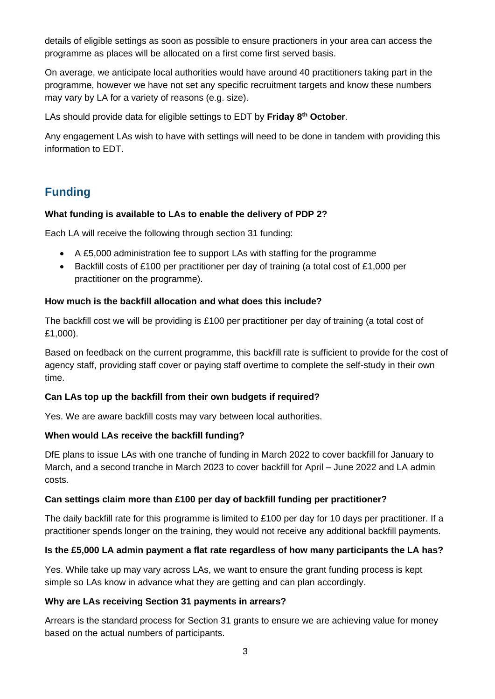details of eligible settings as soon as possible to ensure practioners in your area can access the programme as places will be allocated on a first come first served basis.

On average, we anticipate local authorities would have around 40 practitioners taking part in the programme, however we have not set any specific recruitment targets and know these numbers may vary by LA for a variety of reasons (e.g. size).

LAs should provide data for eligible settings to EDT by **Friday 8th October**.

Any engagement LAs wish to have with settings will need to be done in tandem with providing this information to EDT.

# **Funding**

#### **What funding is available to LAs to enable the delivery of PDP 2?**

Each LA will receive the following through section 31 funding:

- A £5,000 administration fee to support LAs with staffing for the programme
- Backfill costs of £100 per practitioner per day of training (a total cost of £1,000 per practitioner on the programme).

#### **How much is the backfill allocation and what does this include?**

The backfill cost we will be providing is £100 per practitioner per day of training (a total cost of £1,000).

Based on feedback on the current programme, this backfill rate is sufficient to provide for the cost of agency staff, providing staff cover or paying staff overtime to complete the self-study in their own time.

#### **Can LAs top up the backfill from their own budgets if required?**

Yes. We are aware backfill costs may vary between local authorities.

#### **When would LAs receive the backfill funding?**

DfE plans to issue LAs with one tranche of funding in March 2022 to cover backfill for January to March, and a second tranche in March 2023 to cover backfill for April – June 2022 and LA admin costs.

#### **Can settings claim more than £100 per day of backfill funding per practitioner?**

The daily backfill rate for this programme is limited to £100 per day for 10 days per practitioner. If a practitioner spends longer on the training, they would not receive any additional backfill payments.

#### **Is the £5,000 LA admin payment a flat rate regardless of how many participants the LA has?**

Yes. While take up may vary across LAs, we want to ensure the grant funding process is kept simple so LAs know in advance what they are getting and can plan accordingly.

#### **Why are LAs receiving Section 31 payments in arrears?**

Arrears is the standard process for Section 31 grants to ensure we are achieving value for money based on the actual numbers of participants.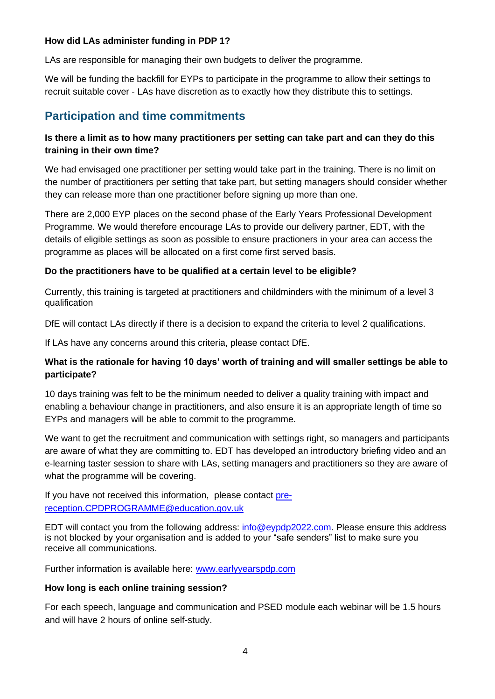#### **How did LAs administer funding in PDP 1?**

LAs are responsible for managing their own budgets to deliver the programme.

We will be funding the backfill for EYPs to participate in the programme to allow their settings to recruit suitable cover - LAs have discretion as to exactly how they distribute this to settings.

### **Participation and time commitments**

#### **Is there a limit as to how many practitioners per setting can take part and can they do this training in their own time?**

We had envisaged one practitioner per setting would take part in the training. There is no limit on the number of practitioners per setting that take part, but setting managers should consider whether they can release more than one practitioner before signing up more than one.

There are 2,000 EYP places on the second phase of the Early Years Professional Development Programme. We would therefore encourage LAs to provide our delivery partner, EDT, with the details of eligible settings as soon as possible to ensure practioners in your area can access the programme as places will be allocated on a first come first served basis.

#### **Do the practitioners have to be qualified at a certain level to be eligible?**

Currently, this training is targeted at practitioners and childminders with the minimum of a level 3 qualification

DfE will contact LAs directly if there is a decision to expand the criteria to level 2 qualifications.

If LAs have any concerns around this criteria, please contact DfE.

#### **What is the rationale for having 10 days' worth of training and will smaller settings be able to participate?**

10 days training was felt to be the minimum needed to deliver a quality training with impact and enabling a behaviour change in practitioners, and also ensure it is an appropriate length of time so EYPs and managers will be able to commit to the programme.

We want to get the recruitment and communication with settings right, so managers and participants are aware of what they are committing to. EDT has developed an introductory briefing video and an e-learning taster session to share with LAs, setting managers and practitioners so they are aware of what the programme will be covering.

If you have not received this information, please contact [pre](mailto:pre-reception.CPDPROGRAMME@education.gov.uk)[reception.CPDPROGRAMME@education.gov.uk](mailto:pre-reception.CPDPROGRAMME@education.gov.uk)

EDT will contact you from the following address: [info@eypdp2022.com.](mailto:info@eypdp2022.com) Please ensure this address is not blocked by your organisation and is added to your "safe senders" list to make sure you receive all communications.

Further information is available here: [www.earlyyearspdp.com](http://www.earlyyearspdp.com/)

#### **How long is each online training session?**

For each speech, language and communication and PSED module each webinar will be 1.5 hours and will have 2 hours of online self-study.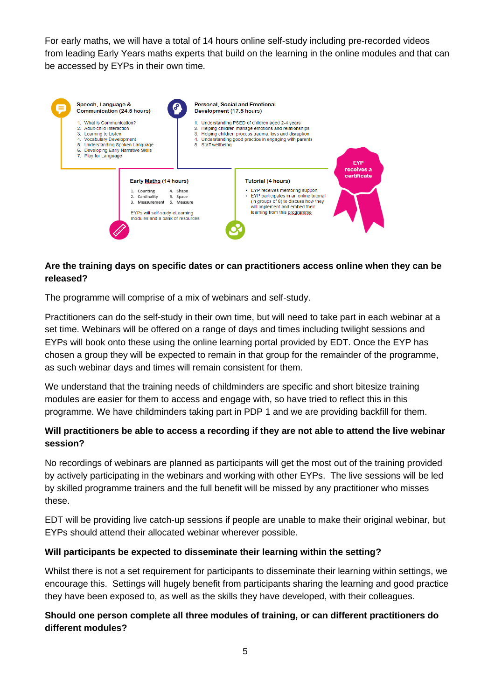For early maths, we will have a total of 14 hours online self-study including pre-recorded videos from leading Early Years maths experts that build on the learning in the online modules and that can be accessed by EYPs in their own time.



#### **Are the training days on specific dates or can practitioners access online when they can be released?**

The programme will comprise of a mix of webinars and self-study.

Practitioners can do the self-study in their own time, but will need to take part in each webinar at a set time. Webinars will be offered on a range of days and times including twilight sessions and EYPs will book onto these using the online learning portal provided by EDT. Once the EYP has chosen a group they will be expected to remain in that group for the remainder of the programme, as such webinar days and times will remain consistent for them.

We understand that the training needs of childminders are specific and short bitesize training modules are easier for them to access and engage with, so have tried to reflect this in this programme. We have childminders taking part in PDP 1 and we are providing backfill for them.

#### **Will practitioners be able to access a recording if they are not able to attend the live webinar session?**

No recordings of webinars are planned as participants will get the most out of the training provided by actively participating in the webinars and working with other EYPs. The live sessions will be led by skilled programme trainers and the full benefit will be missed by any practitioner who misses these.

EDT will be providing live catch-up sessions if people are unable to make their original webinar, but EYPs should attend their allocated webinar wherever possible.

#### **Will participants be expected to disseminate their learning within the setting?**

Whilst there is not a set requirement for participants to disseminate their learning within settings, we encourage this. Settings will hugely benefit from participants sharing the learning and good practice they have been exposed to, as well as the skills they have developed, with their colleagues.

#### **Should one person complete all three modules of training, or can different practitioners do different modules?**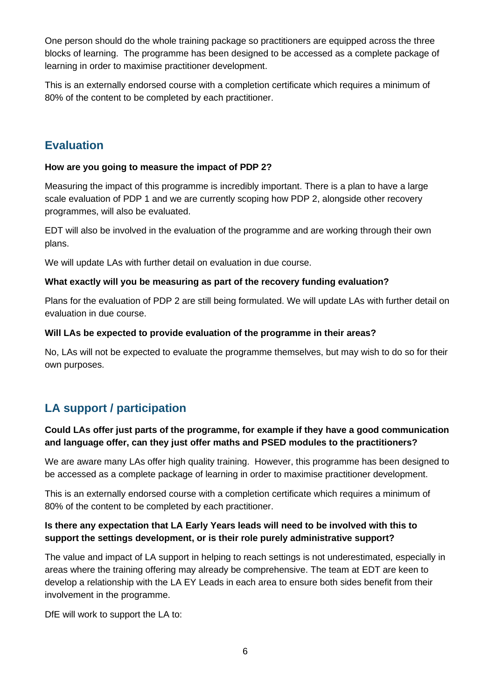One person should do the whole training package so practitioners are equipped across the three blocks of learning. The programme has been designed to be accessed as a complete package of learning in order to maximise practitioner development.

This is an externally endorsed course with a completion certificate which requires a minimum of 80% of the content to be completed by each practitioner.

## **Evaluation**

#### **How are you going to measure the impact of PDP 2?**

Measuring the impact of this programme is incredibly important. There is a plan to have a large scale evaluation of PDP 1 and we are currently scoping how PDP 2, alongside other recovery programmes, will also be evaluated.

EDT will also be involved in the evaluation of the programme and are working through their own plans.

We will update LAs with further detail on evaluation in due course.

#### **What exactly will you be measuring as part of the recovery funding evaluation?**

Plans for the evaluation of PDP 2 are still being formulated. We will update LAs with further detail on evaluation in due course.

#### **Will LAs be expected to provide evaluation of the programme in their areas?**

No, LAs will not be expected to evaluate the programme themselves, but may wish to do so for their own purposes.

# **LA support / participation**

#### **Could LAs offer just parts of the programme, for example if they have a good communication and language offer, can they just offer maths and PSED modules to the practitioners?**

We are aware many LAs offer high quality training. However, this programme has been designed to be accessed as a complete package of learning in order to maximise practitioner development.

This is an externally endorsed course with a completion certificate which requires a minimum of 80% of the content to be completed by each practitioner.

#### **Is there any expectation that LA Early Years leads will need to be involved with this to support the settings development, or is their role purely administrative support?**

The value and impact of LA support in helping to reach settings is not underestimated, especially in areas where the training offering may already be comprehensive. The team at EDT are keen to develop a relationship with the LA EY Leads in each area to ensure both sides benefit from their involvement in the programme.

DfE will work to support the LA to: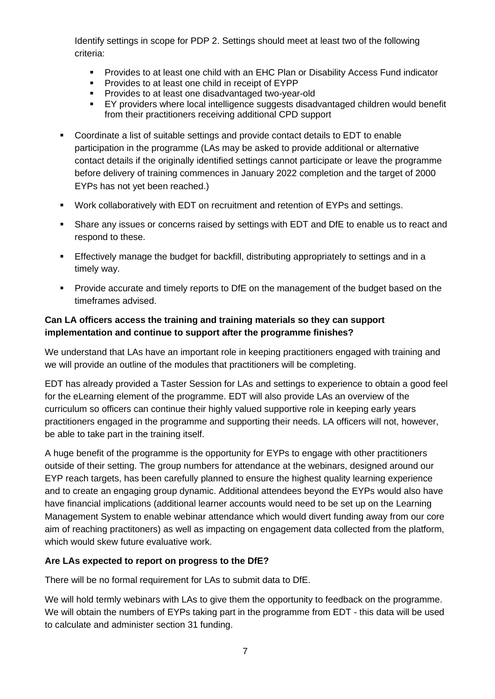Identify settings in scope for PDP 2. Settings should meet at least two of the following criteria:

- Provides to at least one child with an EHC Plan or Disability Access Fund indicator
- Provides to at least one child in receipt of EYPP
- Provides to at least one disadvantaged two-year-old
- EY providers where local intelligence suggests disadvantaged children would benefit from their practitioners receiving additional CPD support
- Coordinate a list of suitable settings and provide contact details to EDT to enable participation in the programme (LAs may be asked to provide additional or alternative contact details if the originally identified settings cannot participate or leave the programme before delivery of training commences in January 2022 completion and the target of 2000 EYPs has not yet been reached.)
- Work collaboratively with EDT on recruitment and retention of EYPs and settings.
- **•** Share any issues or concerns raised by settings with EDT and DfE to enable us to react and respond to these.
- **Effectively manage the budget for backfill, distributing appropriately to settings and in a** timely way.
- Provide accurate and timely reports to DfE on the management of the budget based on the timeframes advised.

#### **Can LA officers access the training and training materials so they can support implementation and continue to support after the programme finishes?**

We understand that LAs have an important role in keeping practitioners engaged with training and we will provide an outline of the modules that practitioners will be completing.

EDT has already provided a Taster Session for LAs and settings to experience to obtain a good feel for the eLearning element of the programme. EDT will also provide LAs an overview of the curriculum so officers can continue their highly valued supportive role in keeping early years practitioners engaged in the programme and supporting their needs. LA officers will not, however, be able to take part in the training itself.

A huge benefit of the programme is the opportunity for EYPs to engage with other practitioners outside of their setting. The group numbers for attendance at the webinars, designed around our EYP reach targets, has been carefully planned to ensure the highest quality learning experience and to create an engaging group dynamic. Additional attendees beyond the EYPs would also have have financial implications (additional learner accounts would need to be set up on the Learning Management System to enable webinar attendance which would divert funding away from our core aim of reaching practitoners) as well as impacting on engagement data collected from the platform, which would skew future evaluative work.

#### **Are LAs expected to report on progress to the DfE?**

There will be no formal requirement for LAs to submit data to DfE.

We will hold termly webinars with LAs to give them the opportunity to feedback on the programme. We will obtain the numbers of EYPs taking part in the programme from EDT - this data will be used to calculate and administer section 31 funding.